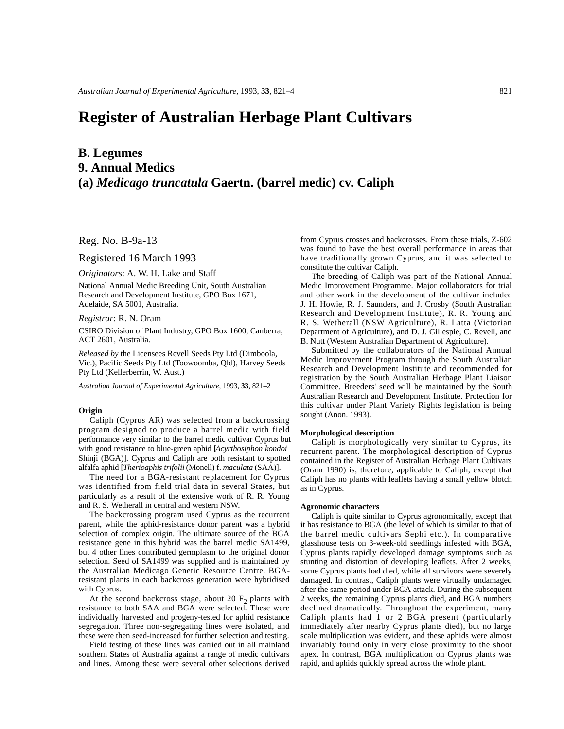# **Register of Australian Herbage Plant Cultivars**

# **B. Legumes 9. Annual Medics (a)** *Medicago truncatula* **Gaertn. (barrel medic) cv. Caliph**

Reg. No. B-9a-13

Registered 16 March 1993

*Originators*: A. W. H. Lake and Staff

National Annual Medic Breeding Unit, South Australian Research and Development Institute, GPO Box 1671, Adelaide, SA 5001, Australia.

*Registrar*: R. N. Oram

CSIRO Division of Plant Industry, GPO Box 1600, Canberra, ACT 2601, Australia.

*Released by* the Licensees Revell Seeds Pty Ltd (Dimboola, Vic.), Pacific Seeds Pty Ltd (Toowoomba, Qld), Harvey Seeds Pty Ltd (Kellerberrin, W. Aust.)

*Australian Journal of Experimental Agriculture*, 1993, **33**, 821–2

# **Origin**

Caliph (Cyprus AR) was selected from a backcrossing program designed to produce a barrel medic with field performance very similar to the barrel medic cultivar Cyprus but with good resistance to blue-green aphid [*Acyrthosiphon kondoi* Shinji (BGA)]. Cyprus and Caliph are both resistant to spotted alfalfa aphid [*Therioaphis trifolii* (Monell) f. *maculata* (SAA)].

The need for a BGA-resistant replacement for Cyprus was identified from field trial data in several States, but particularly as a result of the extensive work of R. R. Young and R. S. Wetherall in central and western NSW.

The backcrossing program used Cyprus as the recurrent parent, while the aphid-resistance donor parent was a hybrid selection of complex origin. The ultimate source of the BGA resistance gene in this hybrid was the barrel medic SA1499, but 4 other lines contributed germplasm to the original donor selection. Seed of SA1499 was supplied and is maintained by the Australian Medicago Genetic Resource Centre. BGAresistant plants in each backcross generation were hybridised with Cyprus.

At the second backcross stage, about 20  $F_2$  plants with resistance to both SAA and BGA were selected. These were individually harvested and progeny-tested for aphid resistance segregation. Three non-segregating lines were isolated, and these were then seed-increased for further selection and testing.

Field testing of these lines was carried out in all mainland southern States of Australia against a range of medic cultivars and lines. Among these were several other selections derived

from Cyprus crosses and backcrosses. From these trials, Z-602 was found to have the best overall performance in areas that have traditionally grown Cyprus, and it was selected to constitute the cultivar Caliph.

The breeding of Caliph was part of the National Annual Medic Improvement Programme. Major collaborators for trial and other work in the development of the cultivar included J. H. Howie, R. J. Saunders, and J. Crosby (South Australian Research and Development Institute), R. R. Young and R. S. Wetherall (NSW Agriculture), R. Latta (Victorian Department of Agriculture), and D. J. Gillespie, C. Revell, and B. Nutt (Western Australian Department of Agriculture).

Submitted by the collaborators of the National Annual Medic Improvement Program through the South Australian Research and Development Institute and recommended for registration by the South Australian Herbage Plant Liaison Committee. Breeders' seed will be maintained by the South Australian Research and Development Institute. Protection for this cultivar under Plant Variety Rights legislation is being sought (Anon. 1993).

#### **Morphological description**

Caliph is morphologically very similar to Cyprus, its recurrent parent. The morphological description of Cyprus contained in the Register of Australian Herbage Plant Cultivars (Oram 1990) is, therefore, applicable to Caliph, except that Caliph has no plants with leaflets having a small yellow blotch as in Cyprus.

#### **Agronomic characters**

Caliph is quite similar to Cyprus agronomically, except that it has resistance to BGA (the level of which is similar to that of the barrel medic cultivars Sephi etc.). In comparative glasshouse tests on 3-week-old seedlings infested with BGA, Cyprus plants rapidly developed damage symptoms such as stunting and distortion of developing leaflets. After 2 weeks, some Cyprus plants had died, while all survivors were severely damaged. In contrast, Caliph plants were virtually undamaged after the same period under BGA attack. During the subsequent 2 weeks, the remaining Cyprus plants died, and BGA numbers declined dramatically. Throughout the experiment, many Caliph plants had 1 or 2 BGA present (particularly immediately after nearby Cyprus plants died), but no large scale multiplication was evident, and these aphids were almost invariably found only in very close proximity to the shoot apex. In contrast, BGA multiplication on Cyprus plants was rapid, and aphids quickly spread across the whole plant.